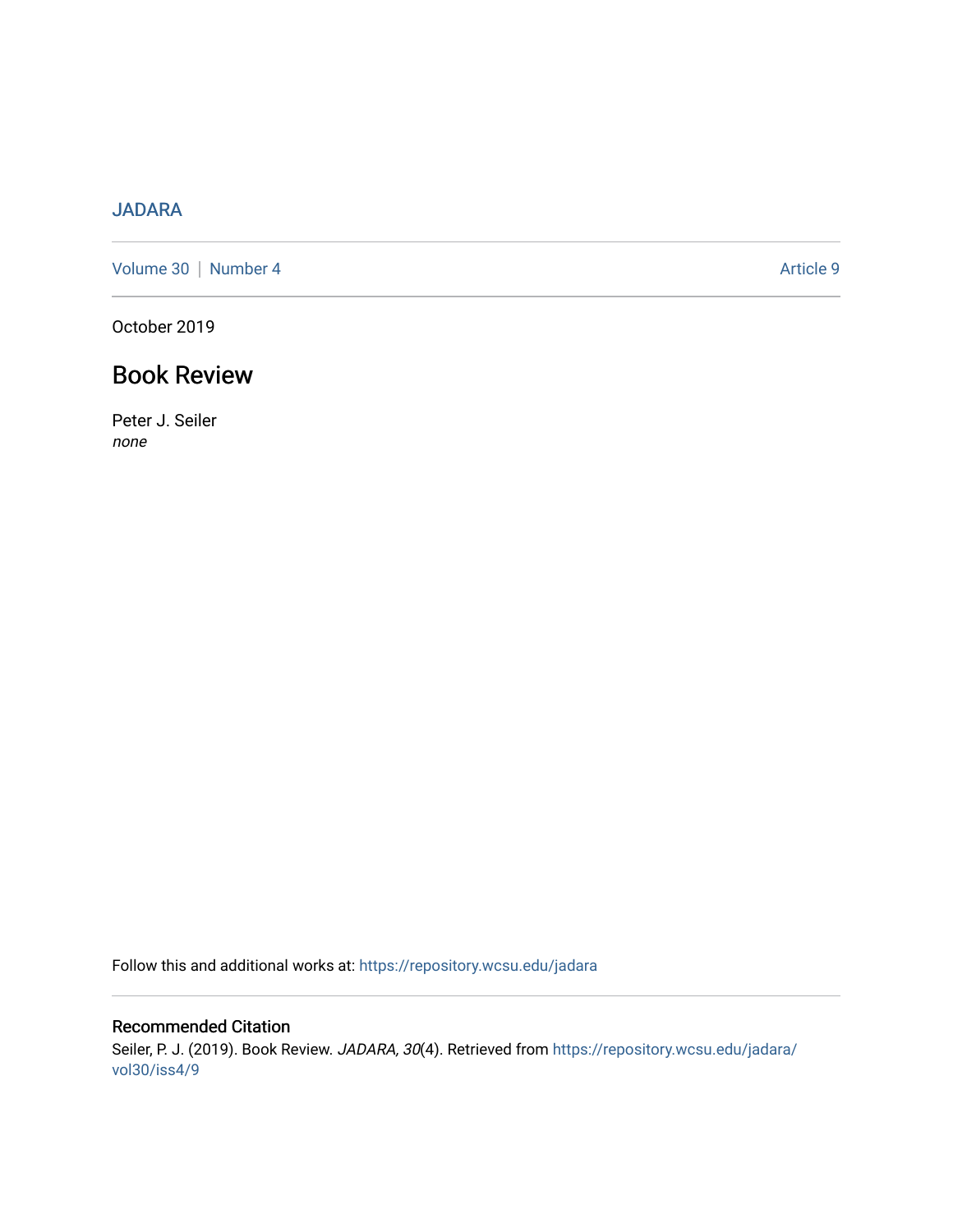## [JADARA](https://repository.wcsu.edu/jadara)

[Volume 30](https://repository.wcsu.edu/jadara/vol30) | [Number 4](https://repository.wcsu.edu/jadara/vol30/iss4) Article 9

October 2019

## Book Review

Peter J. Seiler none

Follow this and additional works at: [https://repository.wcsu.edu/jadara](https://repository.wcsu.edu/jadara?utm_source=repository.wcsu.edu%2Fjadara%2Fvol30%2Fiss4%2F9&utm_medium=PDF&utm_campaign=PDFCoverPages)

Recommended Citation Seiler, P. J. (2019). Book Review. JADARA, 30(4). Retrieved from [https://repository.wcsu.edu/jadara/](https://repository.wcsu.edu/jadara/vol30/iss4/9?utm_source=repository.wcsu.edu%2Fjadara%2Fvol30%2Fiss4%2F9&utm_medium=PDF&utm_campaign=PDFCoverPages) [vol30/iss4/9](https://repository.wcsu.edu/jadara/vol30/iss4/9?utm_source=repository.wcsu.edu%2Fjadara%2Fvol30%2Fiss4%2F9&utm_medium=PDF&utm_campaign=PDFCoverPages)